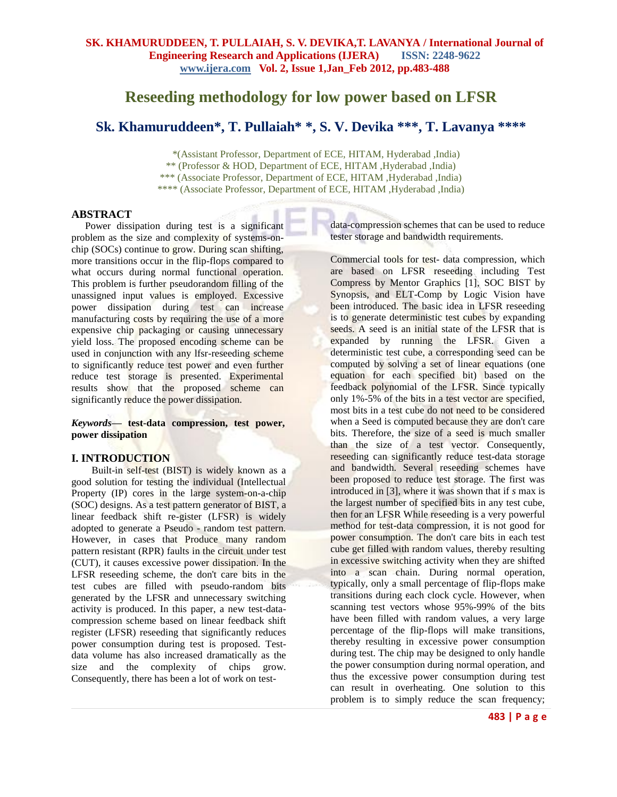# **Reseeding methodology for low power based on LFSR**

# **Sk. Khamuruddeen\*, T. Pullaiah\* \*, S. V. Devika \*\*\*, T. Lavanya \*\*\*\***

 \*(Assistant Professor, Department of ECE, HITAM, Hyderabad ,India) \*\* (Professor & HOD, Department of ECE, HITAM ,Hyderabad ,India) \*\*\* (Associate Professor, Department of ECE, HITAM ,Hyderabad ,India) \*\*\*\* (Associate Professor, Department of ECE, HITAM ,Hyderabad ,India)

## **ABSTRACT**

Power dissipation during test is a significant problem as the size and complexity of systems-onchip (SOCs) continue to grow. During scan shifting, more transitions occur in the flip-flops compared to what occurs during normal functional operation. This problem is further pseudorandom filling of the unassigned input values is employed. Excessive power dissipation during test can increase manufacturing costs by requiring the use of a more expensive chip packaging or causing unnecessary yield loss. The proposed encoding scheme can be used in conjunction with any lfsr-reseeding scheme to significantly reduce test power and even further reduce test storage is presented. Experimental results show that the proposed scheme can significantly reduce the power dissipation.

### *Keywords***— test-data compression, test power, power dissipation**

## **I. INTRODUCTION**

 Built-in self-test (BIST) is widely known as a good solution for testing the individual (Intellectual Property (IP) cores in the large system-on-a-chip (SOC) designs. As a test pattern generator of BIST, a linear feedback shift re-gister (LFSR) is widely adopted to generate a Pseudo - random test pattern. However, in cases that Produce many random pattern resistant (RPR) faults in the circuit under test (CUT), it causes excessive power dissipation. In the LFSR reseeding scheme, the don't care bits in the test cubes are filled with pseudo-random bits generated by the LFSR and unnecessary switching activity is produced. In this paper, a new test-datacompression scheme based on linear feedback shift register (LFSR) reseeding that significantly reduces power consumption during test is proposed. Testdata volume has also increased dramatically as the size and the complexity of chips grow. Consequently, there has been a lot of work on testdata-compression schemes that can be used to reduce tester storage and bandwidth requirements.

Commercial tools for test- data compression, which are based on LFSR reseeding including Test Compress by Mentor Graphics [1], SOC BIST by Synopsis, and ELT-Comp by Logic Vision have been introduced. The basic idea in LFSR reseeding is to generate deterministic test cubes by expanding seeds. A seed is an initial state of the LFSR that is expanded by running the LFSR. Given a deterministic test cube, a corresponding seed can be computed by solving a set of linear equations (one equation for each specified bit) based on the feedback polynomial of the LFSR. Since typically only 1%-5% of the bits in a test vector are specified, most bits in a test cube do not need to be considered when a Seed is computed because they are don't care bits. Therefore, the size of a seed is much smaller than the size of a test vector. Consequently, reseeding can significantly reduce test-data storage and bandwidth. Several reseeding schemes have been proposed to reduce test storage. The first was introduced in [3], where it was shown that if *s* max is the largest number of specified bits in any test cube, then for an LFSR While reseeding is a very powerful method for test-data compression, it is not good for power consumption. The don't care bits in each test cube get filled with random values, thereby resulting in excessive switching activity when they are shifted into a scan chain. During normal operation, typically, only a small percentage of flip-flops make transitions during each clock cycle. However, when scanning test vectors whose 95%-99% of the bits have been filled with random values, a very large percentage of the flip-flops will make transitions, thereby resulting in excessive power consumption during test. The chip may be designed to only handle the power consumption during normal operation, and thus the excessive power consumption during test can result in overheating. One solution to this problem is to simply reduce the scan frequency;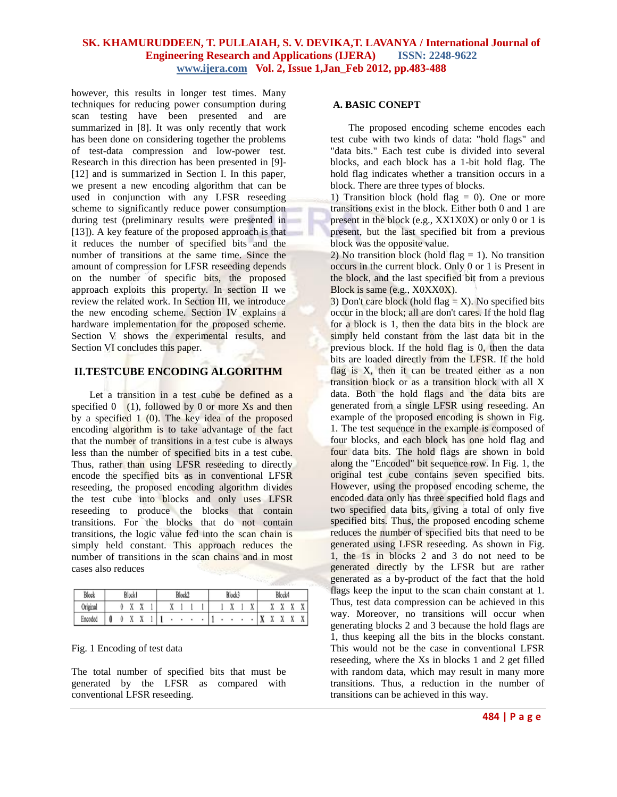however, this results in longer test times. Many techniques for reducing power consumption during scan testing have been presented and are summarized in [8]. It was only recently that work has been done on considering together the problems of test-data compression and low-power test. Research in this direction has been presented in [9]- [12] and is summarized in Section I. In this paper, we present a new encoding algorithm that can be used in conjunction with any LFSR reseeding scheme to significantly reduce power consumption during test (preliminary results were presented in [13]). A key feature of the proposed approach is that it reduces the number of specified bits and the number of transitions at the same time. Since the amount of compression for LFSR reseeding depends on the number of specific bits, the proposed approach exploits this property. In section II we review the related work. In Section III, we introduce the new encoding scheme. Section IV explains a hardware implementation for the proposed scheme. Section V shows the experimental results, and Section VI concludes this paper.

# **II.TESTCUBE ENCODING ALGORITHM**

Let a transition in a test cube be defined as a specified  $(1)$ , followed by 0 or more Xs and then by a specified 1 (0). The key idea of the proposed encoding algorithm is to take advantage of the fact that the number of transitions in a test cube is always less than the number of specified bits in a test cube. Thus, rather than using LFSR reseeding to directly encode the specified bits as in conventional LFSR reseeding, the proposed encoding algorithm divides the test cube into blocks and only uses LFSR reseeding to produce the blocks that contain transitions. For the blocks that do not contain transitions, the logic value fed into the scan chain is simply held constant. This approach reduces the number of transitions in the scan chains and in most cases also reduces

| Block |  | <b>Rlock</b> |                              | $D$ <sub>aa</sub> $-1$ |  |  |  |  | $B_{\text{back}}$ <sup>2</sup> |  |  |  |              | DΙ                |           |                          |    |                    |
|-------|--|--------------|------------------------------|------------------------|--|--|--|--|--------------------------------|--|--|--|--------------|-------------------|-----------|--------------------------|----|--------------------|
|       |  |              | $\bullet$                    |                        |  |  |  |  |                                |  |  |  | $\mathbf{H}$ |                   | $\bullet$ | $\cdots$                 |    | $\mathbf{U}$<br>43 |
|       |  |              | $\mathbf{v}$<br>$\mathbf{r}$ |                        |  |  |  |  |                                |  |  |  |              | $\mathbf{r}$<br>л | v<br>"    | $\mathbf{v}$<br>$\cdots$ | 97 | $\mathbf{v}$<br>Å  |

#### Fig. 1 Encoding of test data

The total number of specified bits that must be generated by the LFSR as compared with conventional LFSR reseeding.

### **A. BASIC CONEPT**

The proposed encoding scheme encodes each test cube with two kinds of data: "hold flags" and "data bits." Each test cube is divided into several blocks, and each block has a 1-bit hold flag. The hold flag indicates whether a transition occurs in a block. There are three types of blocks.

1) Transition block (hold flag  $= 0$ ). One or more transitions exist in the block. Either both 0 and 1 are present in the block (e.g., XX1X0X) or only 0 or 1 is present, but the last specified bit from a previous block was the opposite value.

2) No transition block (hold flag  $= 1$ ). No transition occurs in the current block. Only 0 or 1 is Present in the block, and the last specified bit from a previous Block is same (e.g., X0XX0X).

3) Don't care block (hold flag = X). No specified bits occur in the block; all are don't cares. If the hold flag for a block is 1, then the data bits in the block are simply held constant from the last data bit in the previous block. If the hold flag is 0, then the data bits are loaded directly from the LFSR. If the hold flag is X, then it can be treated either as a non transition block or as a transition block with all X data. Both the hold flags and the data bits are generated from a single LFSR using reseeding. An example of the proposed encoding is shown in Fig. 1. The test sequence in the example is composed of four blocks, and each block has one hold flag and four data bits. The hold flags are shown in bold along the "Encoded" bit sequence row. In Fig. 1, the original test cube contains seven specified bits. However, using the proposed encoding scheme, the encoded data only has three specified hold flags and two specified data bits, giving a total of only five specified bits. Thus, the proposed encoding scheme reduces the number of specified bits that need to be generated using LFSR reseeding. As shown in Fig. 1, the 1s in blocks 2 and 3 do not need to be generated directly by the LFSR but are rather generated as a by-product of the fact that the hold flags keep the input to the scan chain constant at 1. Thus, test data compression can be achieved in this way. Moreover, no transitions will occur when generating blocks 2 and 3 because the hold flags are 1, thus keeping all the bits in the blocks constant. This would not be the case in conventional LFSR reseeding, where the Xs in blocks 1 and 2 get filled with random data, which may result in many more transitions. Thus, a reduction in the number of transitions can be achieved in this way.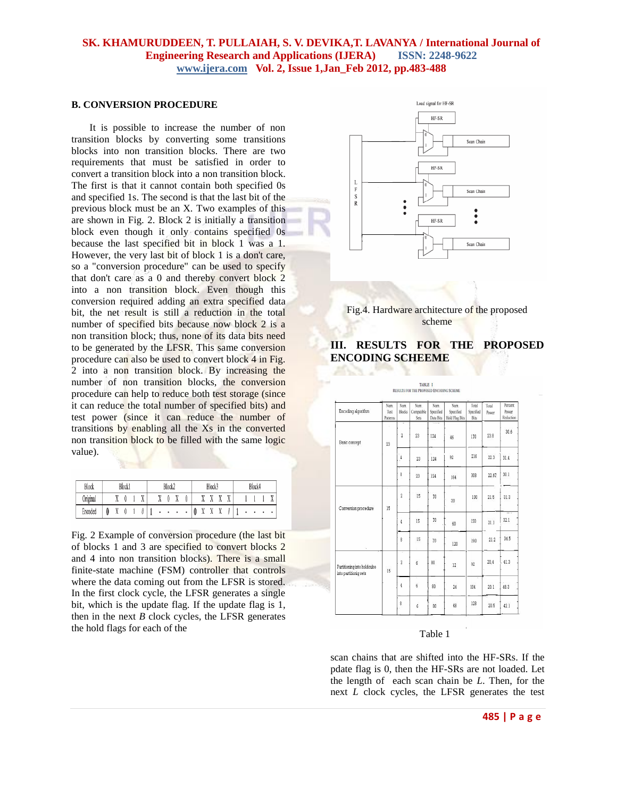### **B. CONVERSION PROCEDURE**

It is possible to increase the number of non transition blocks by converting some transitions blocks into non transition blocks. There are two requirements that must be satisfied in order to convert a transition block into a non transition block. The first is that it cannot contain both specified 0s and specified 1s. The second is that the last bit of the previous block must be an X. Two examples of this are shown in Fig. 2. Block 2 is initially a transition block even though it only contains specified 0s because the last specified bit in block 1 was a 1. However, the very last bit of block 1 is a don't care, so a "conversion procedure" can be used to specify that don't care as a 0 and thereby convert block 2 into a non transition block. Even though this conversion required adding an extra specified data bit, the net result is still a reduction in the total number of specified bits because now block 2 is a non transition block; thus, none of its data bits need to be generated by the LFSR. This same conversion procedure can also be used to convert block 4 in Fig. 2 into a non transition block. By increasing the number of non transition blocks, the conversion procedure can help to reduce both test storage (since it can reduce the total number of specified bits) and test power (since it can reduce the number of transitions by enabling all the Xs in the converted non transition block to be filled with the same logic value).

| Block   | Block1 |  |  | Block2 |   |  |  | Block <sup>2</sup> |  |   |          |          | Block4   |                           |   |  |  |  |                           |
|---------|--------|--|--|--------|---|--|--|--------------------|--|---|----------|----------|----------|---------------------------|---|--|--|--|---------------------------|
| Origina |        |  |  | .,     |   |  |  | .,                 |  |   | $\cdots$ | $\cdots$ | $\cdots$ | $\ddot{\phantom{a}}$<br>Ω |   |  |  |  | $\ddot{\phantom{a}}$<br>л |
| Encoded |        |  |  |        | ٠ |  |  |                    |  | ν | $\cdots$ |          |          |                           | ٠ |  |  |  |                           |

Fig. 2 Example of conversion procedure (the last bit of blocks 1 and 3 are specified to convert blocks 2 and 4 into non transition blocks). There is a small finite-state machine (FSM) controller that controls where the data coming out from the LFSR is stored. In the first clock cycle, the LFSR generates a single bit, which is the update flag. If the update flag is 1, then in the next  $B$  clock cycles, the LFSR generates the hold flags for each of the





# **III. RESULTS FOR THE PROPOSED ENCODING SCHEEME**

TABLE I **RESULTS FOR THE PROPOSED ENCODING SCHEME** 

| Encoding algorithm                                  | Num.<br>Test<br>Patterns | Num.<br><b>Blocks</b> | Num.<br>Compatible<br>Sets | Num.<br>Specified<br>Data Bits | Num.<br>Specified<br><b>Hold Flag Bits</b> | Total<br>Specified<br><b>Bits</b> | Total<br>Power | Percent<br>Power<br>Reduction    |
|-----------------------------------------------------|--------------------------|-----------------------|----------------------------|--------------------------------|--------------------------------------------|-----------------------------------|----------------|----------------------------------|
| Basic concept                                       | 23                       | $\overline{a}$        | 23                         | 124                            | 46                                         | 170                               | 23.8           | 30.6                             |
|                                                     |                          | $\overline{4}$        | 23                         | 124                            | 92                                         | 216                               | 22.3           | 31.4                             |
|                                                     |                          | 8                     | 23                         | 124                            | 184                                        | 308                               | 22.67          | 30.1                             |
| Conversion procedure                                | 16                       | $\overline{a}$        | 15                         | 70                             | 30                                         | 100                               | 21.5           | 31.3                             |
|                                                     |                          | 4                     | 16                         | 70                             | 60                                         | 130                               | 21.1           | $\overline{\phantom{a}}$<br>32.1 |
|                                                     |                          | 8                     | 15                         | 70                             | 120                                        | 190                               | 21.2           | 34.5                             |
| Partitioning into holdcube<br>into partitioniq sets | 15                       | $\overline{a}$        | $6\overline{6}$            | 80                             | 12                                         | 92                                | 20,4           | 41.3                             |
|                                                     |                          | 4                     | 6                          | 80 <sup>°</sup>                | 24                                         | 104                               | 201            | 48.3                             |
|                                                     |                          | 8                     | 6                          | 80                             | 48                                         | 128                               | 20.5           | 42.1                             |

#### Table 1

scan chains that are shifted into the HF-SRs. If the pdate flag is 0, then the HF-SRs are not loaded. Let the length of each scan chain be *L*. Then, for the next *L* clock cycles, the LFSR generates the test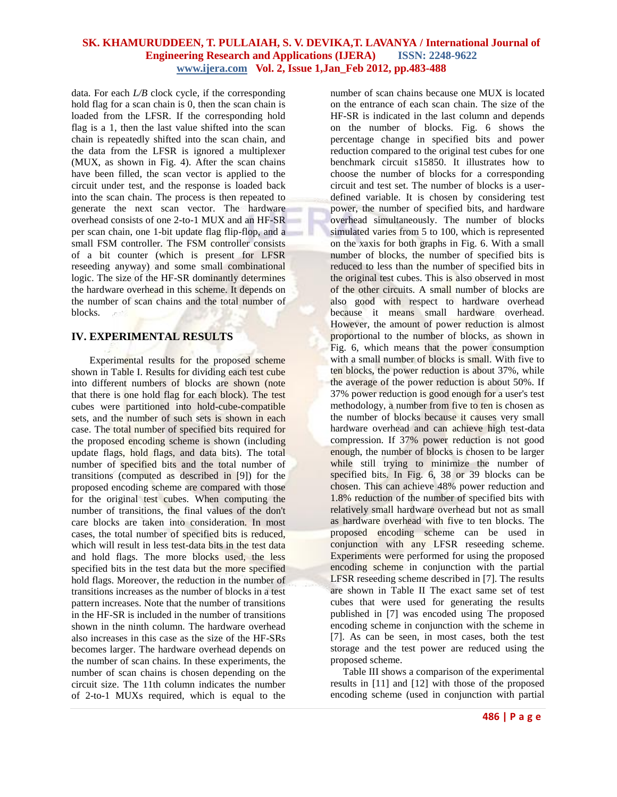data. For each *L/B* clock cycle, if the corresponding hold flag for a scan chain is 0, then the scan chain is loaded from the LFSR. If the corresponding hold flag is a 1, then the last value shifted into the scan chain is repeatedly shifted into the scan chain, and the data from the LFSR is ignored a multiplexer (MUX, as shown in Fig. 4). After the scan chains have been filled, the scan vector is applied to the circuit under test, and the response is loaded back into the scan chain. The process is then repeated to generate the next scan vector. The hardware overhead consists of one 2-to-1 MUX and an HF-SR per scan chain, one 1-bit update flag flip-flop, and a small FSM controller. The FSM controller consists of a bit counter (which is present for LFSR reseeding anyway) and some small combinational logic. The size of the HF-SR dominantly determines the hardware overhead in this scheme. It depends on the number of scan chains and the total number of blocks.

### **IV. EXPERIMENTAL RESULTS**

Experimental results for the proposed scheme shown in Table I. Results for dividing each test cube into different numbers of blocks are shown (note that there is one hold flag for each block). The test cubes were partitioned into hold-cube-compatible sets, and the number of such sets is shown in each case. The total number of specified bits required for the proposed encoding scheme is shown (including update flags, hold flags, and data bits). The total number of specified bits and the total number of transitions (computed as described in [9]) for the proposed encoding scheme are compared with those for the original test cubes. When computing the number of transitions, the final values of the don't care blocks are taken into consideration. In most cases, the total number of specified bits is reduced, which will result in less test-data bits in the test data and hold flags. The more blocks used, the less specified bits in the test data but the more specified hold flags. Moreover, the reduction in the number of transitions increases as the number of blocks in a test pattern increases. Note that the number of transitions in the HF-SR is included in the number of transitions shown in the ninth column. The hardware overhead also increases in this case as the size of the HF-SRs becomes larger. The hardware overhead depends on the number of scan chains. In these experiments, the number of scan chains is chosen depending on the circuit size. The 11th column indicates the number of 2-to-1 MUXs required, which is equal to the

number of scan chains because one MUX is located on the entrance of each scan chain. The size of the HF-SR is indicated in the last column and depends on the number of blocks. Fig. 6 shows the percentage change in specified bits and power reduction compared to the original test cubes for one benchmark circuit s15850. It illustrates how to choose the number of blocks for a corresponding circuit and test set. The number of blocks is a userdefined variable. It is chosen by considering test power, the number of specified bits, and hardware overhead simultaneously. The number of blocks simulated varies from 5 to 100, which is represented on the *x*axis for both graphs in Fig. 6. With a small number of blocks, the number of specified bits is reduced to less than the number of specified bits in the original test cubes. This is also observed in most of the other circuits. A small number of blocks are also good with respect to hardware overhead because it means small hardware overhead. However, the amount of power reduction is almost proportional to the number of blocks, as shown in Fig. 6, which means that the power consumption with a small number of blocks is small. With five to ten blocks, the power reduction is about 37%, while the average of the power reduction is about 50%. If 37% power reduction is good enough for a user's test methodology, a number from five to ten is chosen as the number of blocks because it causes very small hardware overhead and can achieve high test-data compression. If 37% power reduction is not good enough, the number of blocks is chosen to be larger while still trying to minimize the number of specified bits. In Fig. 6, 38 or 39 blocks can be chosen. This can achieve 48% power reduction and 1.8% reduction of the number of specified bits with relatively small hardware overhead but not as small as hardware overhead with five to ten blocks. The proposed encoding scheme can be used in conjunction with any LFSR reseeding scheme. Experiments were performed for using the proposed encoding scheme in conjunction with the partial LFSR reseeding scheme described in [7]. The results are shown in Table II The exact same set of test cubes that were used for generating the results published in [7] was encoded using The proposed encoding scheme in conjunction with the scheme in [7]. As can be seen, in most cases, both the test storage and the test power are reduced using the proposed scheme.

 Table III shows a comparison of the experimental results in [11] and [12] with those of the proposed encoding scheme (used in conjunction with partial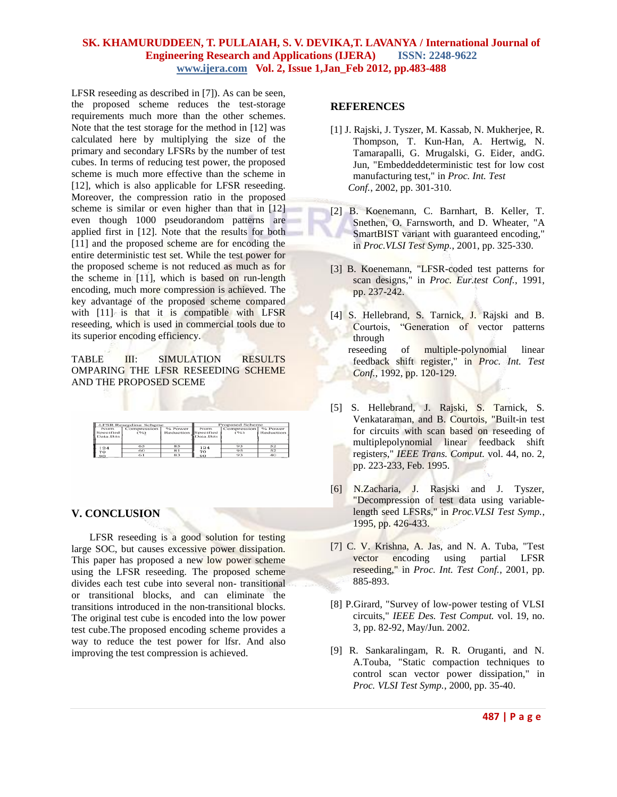LFSR reseeding as described in [7]). As can be seen, the proposed scheme reduces the test-storage requirements much more than the other schemes. Note that the test storage for the method in [12] was calculated here by multiplying the size of the primary and secondary LFSRs by the number of test cubes. In terms of reducing test power, the proposed scheme is much more effective than the scheme in [12], which is also applicable for LFSR reseeding. Moreover, the compression ratio in the proposed scheme is similar or even higher than that in [12] even though 1000 pseudorandom patterns are applied first in [12]. Note that the results for both [11] and the proposed scheme are for encoding the entire deterministic test set. While the test power for the proposed scheme is not reduced as much as for the scheme in [11], which is based on run-length encoding, much more compression is achieved. The key advantage of the proposed scheme compared with [11] is that it is compatible with LFSR reseeding, which is used in commercial tools due to its superior encoding efficiency.

# TABLE **III:** SIMULATION RESULTS OMPARING THE LFSR RESEEDING SCHEME AND THE PROPOSED SCEME

|                                | <b>LFSR Reseeding Scheme</b> |                                | Proposed Scheme   |                     |                             |  |  |  |  |
|--------------------------------|------------------------------|--------------------------------|-------------------|---------------------|-----------------------------|--|--|--|--|
| Num.<br>Specified<br>Data Bits | Compression<br>(°)           | % Power<br>Reduction Specified | Num.<br>Data Bits | Compression<br>(96) | % Power<br>Reduction<br>. . |  |  |  |  |
| 124                            | 65                           | 85                             | 124               | 93                  | 52                          |  |  |  |  |
| 70                             | 60                           | 81                             | 70                | 05                  | 52                          |  |  |  |  |
| 90                             | 61                           | 83                             | 90                | 93                  | 40                          |  |  |  |  |

# **V. CONCLUSION**

LFSR reseeding is a good solution for testing large SOC, but causes excessive power dissipation. This paper has proposed a new low power scheme using the LFSR reseeding. The proposed scheme divides each test cube into several non- transitional or transitional blocks, and can eliminate the transitions introduced in the non-transitional blocks. The original test cube is encoded into the low power test cube.The proposed encoding scheme provides a way to reduce the test power for lfsr. And also improving the test compression is achieved.

### **REFERENCES**

- [1] J. Rajski, J. Tyszer, M. Kassab, N. Mukherjee, R. Thompson, T. Kun-Han, A. Hertwig, N. Tamarapalli, G. Mrugalski, G. Eider, andG. Jun, "Embeddeddeterministic test for low cost manufacturing test," in *Proc. Int. Test Conf.*, 2002, pp. 301-310.
- [2] B. Koenemann, C. Barnhart, B. Keller, T. Snethen, O. Farnsworth, and D. Wheater, "A SmartBIST variant with guaranteed encoding," in *Proc.VLSI Test Symp.*, 2001, pp. 325-330.
- [3] B. Koenemann, "LFSR-coded test patterns for scan designs," in *Proc. Eur.test Conf.*, 1991, pp. 237-242.
- [4] S. Hellebrand, S. Tarnick, J. Rajski and B. Courtois, "Generation of vector patterns through reseeding of multiple-polynomial linear
	- feedback shift register," in *Proc. Int. Test Conf.*, 1992, pp. 120-129.
- [5] S. Hellebrand, J. Rajski, S. Tarnick, S. Venkataraman, and B. Courtois, "Built-in test for circuits with scan based on reseeding of multiplepolynomial linear feedback shift registers," *IEEE Trans. Comput.* vol. 44, no. 2, pp. 223-233, Feb. 1995.
- [6] N.Zacharia, J. Rasjski and J. Tyszer, "Decompression of test data using variablelength seed LFSRs," in *Proc.VLSI Test Symp.*, 1995, pp. 426-433.
- [7] C. V. Krishna, A. Jas, and N. A. Tuba, "Test vector encoding using partial LFSR reseeding," in *Proc. Int. Test Conf.*, 2001, pp. 885-893.
- [8] P.Girard, "Survey of low-power testing of VLSI circuits," *IEEE Des. Test Comput.* vol. 19, no. 3, pp. 82-92, May/Jun. 2002.
- [9] R. Sankaralingam, R. R. Oruganti, and N. A.Touba, "Static compaction techniques to control scan vector power dissipation," in *Proc. VLSI Test Symp.*, 2000, pp. 35-40.